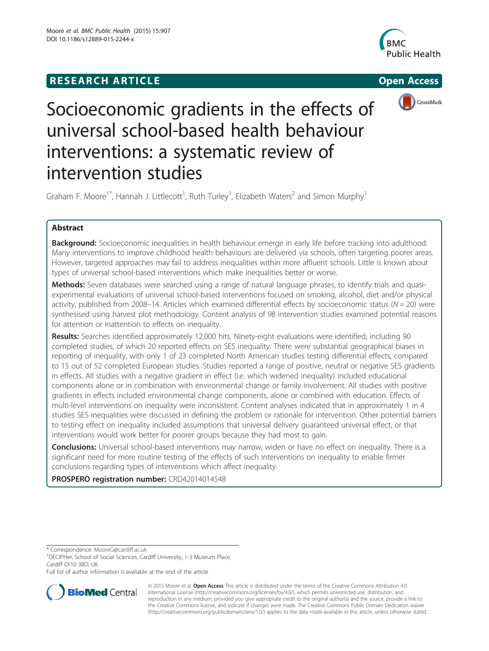# **RESEARCH ARTICLE Example 2014 12:30 The SEAR CHIPS 2014 12:30 The Open Access**







# Socioeconomic gradients in the effects of universal school-based health behaviour interventions: a systematic review of intervention studies

Graham F. Moore<sup>1\*</sup>, Hannah J. Littlecott<sup>1</sup>, Ruth Turley<sup>1</sup>, Elizabeth Waters<sup>2</sup> and Simon Murphy<sup>1</sup>

# Abstract

Background: Socioeconomic inequalities in health behaviour emerge in early life before tracking into adulthood. Many interventions to improve childhood health behaviours are delivered via schools, often targeting poorer areas. However, targeted approaches may fail to address inequalities within more affluent schools. Little is known about types of universal school-based interventions which make inequalities better or worse.

Methods: Seven databases were searched using a range of natural language phrases, to identify trials and quasiexperimental evaluations of universal school-based interventions focused on smoking, alcohol, diet and/or physical activity, published from 2008–14. Articles which examined differential effects by socioeconomic status ( $N = 20$ ) were synthesised using harvest plot methodology. Content analysis of 98 intervention studies examined potential reasons for attention or inattention to effects on inequality.

Results: Searches identified approximately 12,000 hits. Ninety-eight evaluations were identified, including 90 completed studies, of which 20 reported effects on SES inequality. There were substantial geographical biases in reporting of inequality, with only 1 of 23 completed North American studies testing differential effects, compared to 15 out of 52 completed European studies. Studies reported a range of positive, neutral or negative SES gradients in effects. All studies with a negative gradient in effect (i.e. which widened inequality) included educational components alone or in combination with environmental change or family involvement. All studies with positive gradients in effects included environmental change components, alone or combined with education. Effects of multi-level interventions on inequality were inconsistent. Content analyses indicated that in approximately 1 in 4 studies SES inequalities were discussed in defining the problem or rationale for intervention. Other potential barriers to testing effect on inequality included assumptions that universal delivery guaranteed universal effect, or that interventions would work better for poorer groups because they had most to gain.

Conclusions: Universal school-based interventions may narrow, widen or have no effect on inequality. There is a significant need for more routine testing of the effects of such interventions on inequality to enable firmer conclusions regarding types of interventions which affect inequality.

PROSPERO registration number: CRD42014014548

\* Correspondence: [MooreG@cardiff.ac.uk](mailto:MooreG@cardiff.ac.uk) <sup>1</sup>

<sup>1</sup>DECIPHer, School of Social Sciences, Cardiff University, 1-3 Museum Place, Cardiff CF10 3BD, UK

Full list of author information is available at the end of the article



© 2015 Moore et al. Open Access This article is distributed under the terms of the Creative Commons Attribution 4.0 International License [\(http://creativecommons.org/licenses/by/4.0/](http://creativecommons.org/licenses/by/4.0/)), which permits unrestricted use, distribution, and reproduction in any medium, provided you give appropriate credit to the original author(s) and the source, provide a link to the Creative Commons license, and indicate if changes were made. The Creative Commons Public Domain Dedication waiver [\(http://creativecommons.org/publicdomain/zero/1.0/](http://creativecommons.org/publicdomain/zero/1.0/)) applies to the data made available in this article, unless otherwise stated.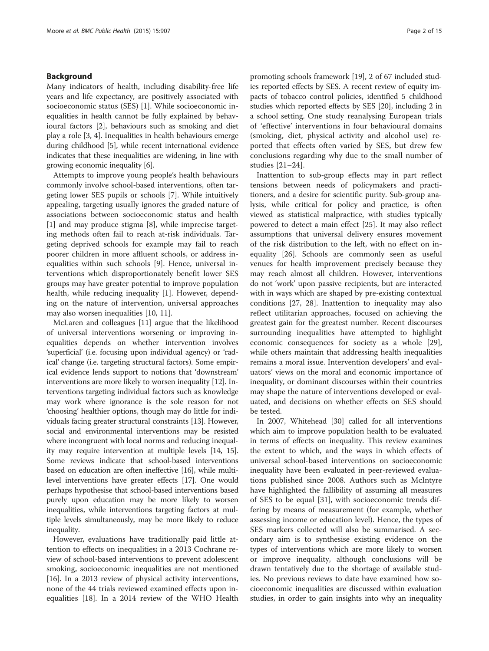#### Background

Many indicators of health, including disability-free life years and life expectancy, are positively associated with socioeconomic status (SES) [[1\]](#page-13-0). While socioeconomic inequalities in health cannot be fully explained by behavioural factors [\[2](#page-13-0)], behaviours such as smoking and diet play a role [[3, 4](#page-13-0)]. Inequalities in health behaviours emerge during childhood [[5](#page-13-0)], while recent international evidence indicates that these inequalities are widening, in line with growing economic inequality [\[6](#page-13-0)].

Attempts to improve young people's health behaviours commonly involve school-based interventions, often targeting lower SES pupils or schools [[7\]](#page-13-0). While intuitively appealing, targeting usually ignores the graded nature of associations between socioeconomic status and health [[1\]](#page-13-0) and may produce stigma [[8](#page-13-0)], while imprecise targeting methods often fail to reach at-risk individuals. Targeting deprived schools for example may fail to reach poorer children in more affluent schools, or address inequalities within such schools [[9\]](#page-13-0). Hence, universal interventions which disproportionately benefit lower SES groups may have greater potential to improve population health, while reducing inequality [[1\]](#page-13-0). However, depending on the nature of intervention, universal approaches may also worsen inequalities [\[10, 11\]](#page-13-0).

McLaren and colleagues [[11](#page-13-0)] argue that the likelihood of universal interventions worsening or improving inequalities depends on whether intervention involves 'superficial' (i.e. focusing upon individual agency) or 'radical' change (i.e. targeting structural factors). Some empirical evidence lends support to notions that 'downstream' interventions are more likely to worsen inequality [\[12\]](#page-13-0). Interventions targeting individual factors such as knowledge may work where ignorance is the sole reason for not 'choosing' healthier options, though may do little for individuals facing greater structural constraints [[13](#page-13-0)]. However, social and environmental interventions may be resisted where incongruent with local norms and reducing inequality may require intervention at multiple levels [\[14, 15](#page-13-0)]. Some reviews indicate that school-based interventions based on education are often ineffective [[16](#page-13-0)], while multilevel interventions have greater effects [[17](#page-13-0)]. One would perhaps hypothesise that school-based interventions based purely upon education may be more likely to worsen inequalities, while interventions targeting factors at multiple levels simultaneously, may be more likely to reduce inequality.

However, evaluations have traditionally paid little attention to effects on inequalities; in a 2013 Cochrane review of school-based interventions to prevent adolescent smoking, socioeconomic inequalities are not mentioned [[16\]](#page-13-0). In a 2013 review of physical activity interventions, none of the 44 trials reviewed examined effects upon inequalities [\[18\]](#page-13-0). In a 2014 review of the WHO Health

promoting schools framework [[19](#page-13-0)], 2 of 67 included studies reported effects by SES. A recent review of equity impacts of tobacco control policies, identified 5 childhood studies which reported effects by SES [[20](#page-13-0)], including 2 in a school setting. One study reanalysing European trials of 'effective' interventions in four behavioural domains (smoking, diet, physical activity and alcohol use) reported that effects often varied by SES, but drew few conclusions regarding why due to the small number of studies [[21](#page-13-0)–[24\]](#page-13-0).

Inattention to sub-group effects may in part reflect tensions between needs of policymakers and practitioners, and a desire for scientific purity. Sub-group analysis, while critical for policy and practice, is often viewed as statistical malpractice, with studies typically powered to detect a main effect [\[25](#page-13-0)]. It may also reflect assumptions that universal delivery ensures movement of the risk distribution to the left, with no effect on inequality [\[26](#page-13-0)]. Schools are commonly seen as useful venues for health improvement precisely because they may reach almost all children. However, interventions do not 'work' upon passive recipients, but are interacted with in ways which are shaped by pre-existing contextual conditions [[27](#page-13-0), [28](#page-14-0)]. Inattention to inequality may also reflect utilitarian approaches, focused on achieving the greatest gain for the greatest number. Recent discourses surrounding inequalities have attempted to highlight economic consequences for society as a whole [\[29](#page-14-0)], while others maintain that addressing health inequalities remains a moral issue. Intervention developers' and evaluators' views on the moral and economic importance of inequality, or dominant discourses within their countries may shape the nature of interventions developed or evaluated, and decisions on whether effects on SES should be tested.

In 2007, Whitehead [\[30](#page-14-0)] called for all interventions which aim to improve population health to be evaluated in terms of effects on inequality. This review examines the extent to which, and the ways in which effects of universal school-based interventions on socioeconomic inequality have been evaluated in peer-reviewed evaluations published since 2008. Authors such as McIntyre have highlighted the fallibility of assuming all measures of SES to be equal [[31\]](#page-14-0), with socioeconomic trends differing by means of measurement (for example, whether assessing income or education level). Hence, the types of SES markers collected will also be summarised. A secondary aim is to synthesise existing evidence on the types of interventions which are more likely to worsen or improve inequality, although conclusions will be drawn tentatively due to the shortage of available studies. No previous reviews to date have examined how socioeconomic inequalities are discussed within evaluation studies, in order to gain insights into why an inequality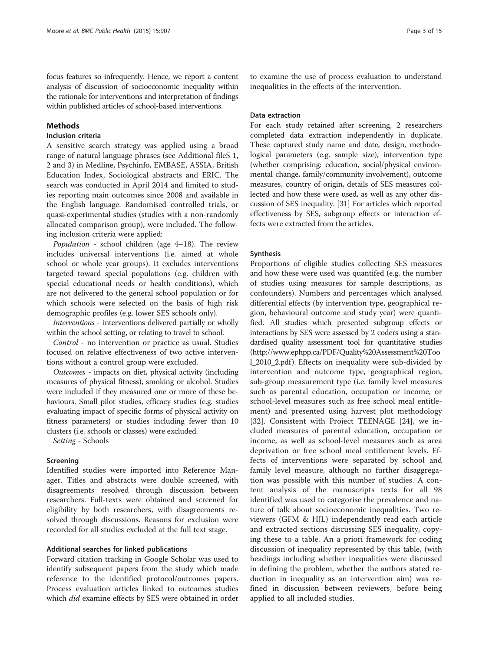focus features so infrequently. Hence, we report a content analysis of discussion of socioeconomic inequality within the rationale for interventions and interpretation of findings within published articles of school-based interventions.

#### Methods

#### Inclusion criteria

A sensitive search strategy was applied using a broad range of natural language phrases (see Additional fileS [1](#page-13-0), [2](#page-13-0) and [3](#page-13-0)) in Medline, Psychinfo, EMBASE, ASSIA, British Education Index, Sociological abstracts and ERIC. The search was conducted in April 2014 and limited to studies reporting main outcomes since 2008 and available in the English language. Randomised controlled trials, or quasi-experimental studies (studies with a non-randomly allocated comparison group), were included. The following inclusion criteria were applied:

Population - school children (age 4–18). The review includes universal interventions (i.e. aimed at whole school or whole year groups). It excludes interventions targeted toward special populations (e.g. children with special educational needs or health conditions), which are not delivered to the general school population or for which schools were selected on the basis of high risk demographic profiles (e.g. lower SES schools only).

Interventions - interventions delivered partially or wholly within the school setting, or relating to travel to school.

Control - no intervention or practice as usual. Studies focused on relative effectiveness of two active interventions without a control group were excluded.

Outcomes - impacts on diet, physical activity (including measures of physical fitness), smoking or alcohol. Studies were included if they measured one or more of these behaviours. Small pilot studies, efficacy studies (e.g. studies evaluating impact of specific forms of physical activity on fitness parameters) or studies including fewer than 10 clusters (i.e. schools or classes) were excluded.

Setting - Schools

#### Screening

Identified studies were imported into Reference Manager. Titles and abstracts were double screened, with disagreements resolved through discussion between researchers. Full-texts were obtained and screened for eligibility by both researchers, with disagreements resolved through discussions. Reasons for exclusion were recorded for all studies excluded at the full text stage.

# Additional searches for linked publications

Forward citation tracking in Google Scholar was used to identify subsequent papers from the study which made reference to the identified protocol/outcomes papers. Process evaluation articles linked to outcomes studies which did examine effects by SES were obtained in order to examine the use of process evaluation to understand inequalities in the effects of the intervention.

## Data extraction

For each study retained after screening, 2 researchers completed data extraction independently in duplicate. These captured study name and date, design, methodological parameters (e.g. sample size), intervention type (whether comprising: education, social/physical environmental change, family/community involvement), outcome measures, country of origin, details of SES measures collected and how these were used, as well as any other discussion of SES inequality. [[31](#page-14-0)] For articles which reported effectiveness by SES, subgroup effects or interaction effects were extracted from the articles.

## Synthesis

Proportions of eligible studies collecting SES measures and how these were used was quantifed (e.g. the number of studies using measures for sample descriptions, as confounders). Numbers and percentages which analysed differential effects (by intervention type, geographical region, behavioural outcome and study year) were quantified. All studies which presented subgroup effects or interactions by SES were assessed by 2 coders using a standardised quality assessment tool for quantitative studies ([http://www.ephpp.ca/PDF/Quality%20Assessment%20Too](http://www.ephpp.ca/PDF/Quality%20Assessment%20Tool_2010_2.pdf) [l\\_2010\\_2.pdf](http://www.ephpp.ca/PDF/Quality%20Assessment%20Tool_2010_2.pdf) ). Effects on inequality were sub-divided by intervention and outcome type, geographical region, sub-group measurement type (i.e. family level measures such as parental education, occupation or income, or school-level measures such as free school meal entitlement) and presented using harvest plot methodology [[32\]](#page-14-0). Consistent with Project TEENAGE [[24\]](#page-13-0), we included measures of parental education, occupation or income, as well as school-level measures such as area deprivation or free school meal entitlement levels. Effects of interventions were separated by school and family level measure, although no further disaggregation was possible with this number of studies. A content analysis of the manuscripts texts for all 98 identified was used to categorise the prevalence and nature of talk about socioeconomic inequalities. Two reviewers (GFM & HJL) independently read each article and extracted sections discussing SES inequality, copying these to a table. An a priori framework for coding discussion of inequality represented by this table, (with headings including whether inequalities were discussed in defining the problem, whether the authors stated reduction in inequality as an intervention aim) was refined in discussion between reviewers, before being applied to all included studies.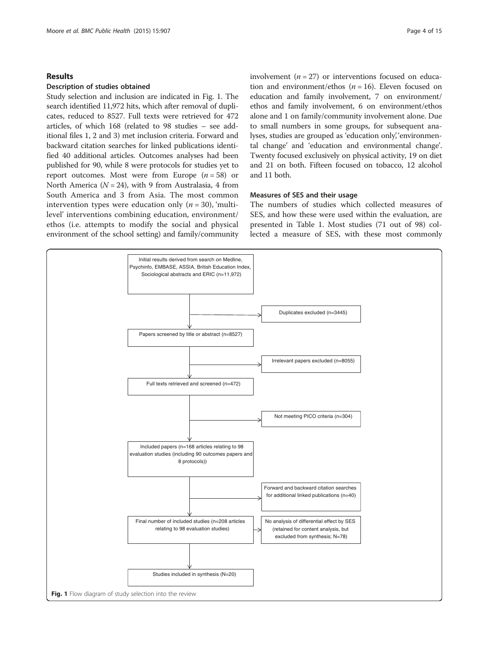#### Moore et al. BMC Public Health (2015) 15:907 Page 4 of 15

#### Results

## Description of studies obtained

Study selection and inclusion are indicated in Fig. 1. The search identified 11,972 hits, which after removal of duplicates, reduced to 8527. Full texts were retrieved for 472 articles, of which 168 (related to 98 studies – see additional files [1](#page-13-0), [2](#page-13-0) and [3](#page-13-0)) met inclusion criteria. Forward and backward citation searches for linked publications identified 40 additional articles. Outcomes analyses had been published for 90, while 8 were protocols for studies yet to report outcomes. Most were from Europe  $(n = 58)$  or North America ( $N = 24$ ), with 9 from Australasia, 4 from South America and 3 from Asia. The most common intervention types were education only  $(n = 30)$ , 'multilevel' interventions combining education, environment/ ethos (i.e. attempts to modify the social and physical environment of the school setting) and family/community involvement ( $n = 27$ ) or interventions focused on education and environment/ethos  $(n = 16)$ . Eleven focused on education and family involvement, 7 on environment/ ethos and family involvement, 6 on environment/ethos alone and 1 on family/community involvement alone. Due to small numbers in some groups, for subsequent analyses, studies are grouped as 'education only', 'environmental change' and 'education and environmental change'. Twenty focused exclusively on physical activity, 19 on diet and 21 on both. Fifteen focused on tobacco, 12 alcohol and 11 both.

#### Measures of SES and their usage

The numbers of studies which collected measures of SES, and how these were used within the evaluation, are presented in Table [1.](#page-4-0) Most studies (71 out of 98) collected a measure of SES, with these most commonly

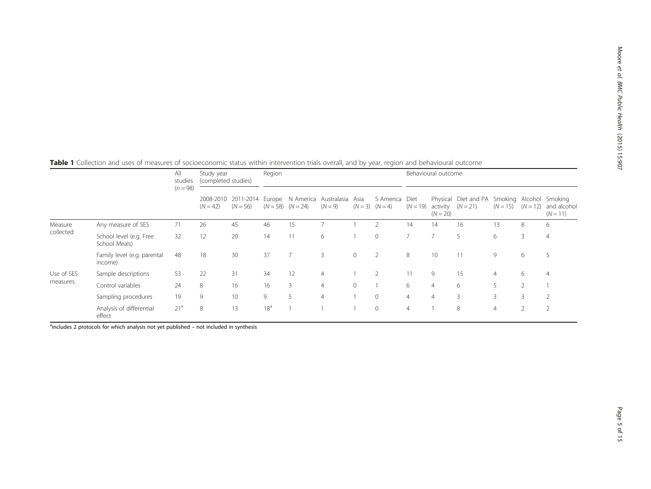|                      |                                          | All<br>studies  | Study year<br>(completed studies) |                         | Region          |                       |                                                |         |                                  | Behavioural outcome |                        |                                    |                               |                |                                      |
|----------------------|------------------------------------------|-----------------|-----------------------------------|-------------------------|-----------------|-----------------------|------------------------------------------------|---------|----------------------------------|---------------------|------------------------|------------------------------------|-------------------------------|----------------|--------------------------------------|
|                      |                                          | $(n = 98)$      | 2008-2010<br>$(N = 42)$           | 2011-2014<br>$(N = 56)$ |                 | $(N = 58)$ $(N = 24)$ | Europe N America Australasia Asia<br>$(N = 9)$ |         | S America<br>$(N = 3)$ $(N = 4)$ | Diet<br>$(N = 19)$  | activity<br>$(N = 20)$ | Physical Diet and PA<br>$(N = 21)$ | Smoking Alcohol<br>$(N = 15)$ | $(N = 12)$     | Smoking<br>and alcohol<br>$(N = 11)$ |
| Measure<br>collected | Any measure of SES                       | 71              | 26                                | 45                      | 46              | 15                    |                                                |         |                                  | 14                  | 14                     | 16                                 | 13                            | 8              | 6                                    |
|                      | School level (e.g. Free<br>School Meals) | 32              | 12                                | 20                      | 14              | 11                    | 6                                              |         | $\mathbf{0}$                     | $\overline{7}$      | $\overline{7}$         | 5                                  | 6                             | 3              | $\overline{4}$                       |
|                      | Family level (e.g. parental<br>income)   | 48              | 18                                | 30                      | 37              | $\overline{7}$        | 3                                              | $\circ$ | $\overline{2}$                   | 8                   | 10 <sup>°</sup>        | 11                                 | 9                             | 6              | 5                                    |
| Use of SES           | Sample descriptions                      | 53              | 22                                | 31                      | 34              | 12                    | $\overline{4}$                                 |         | 2                                | 11                  | 9                      | 15                                 | $\overline{4}$                | 6              | $\overline{4}$                       |
| measures             | Control variables                        | 24              | 8                                 | 16                      | 16              | 3                     | $\overline{4}$                                 | $\circ$ |                                  | 6                   | $\overline{4}$         | 6                                  | 5                             | $\overline{2}$ |                                      |
|                      | Sampling procedures                      | 19              | 9                                 | 10                      | 9               | 5                     | $\overline{4}$                                 |         | $\mathbf 0$                      | $\overline{4}$      | $\overline{4}$         | 3                                  | 3                             | $\overline{3}$ | 2                                    |
|                      | Analysis of differential<br>effect       | 21 <sup>a</sup> | 8                                 | 13                      | 18 <sup>a</sup> |                       |                                                |         | 0                                | $\overline{4}$      |                        | 8                                  | 4                             | $\bigcap$      | $\overline{2}$                       |

<span id="page-4-0"></span>Table 1 Collection and uses of measures of socioeconomic status within intervention trials overall, and by year, region and behavioural outcome

<sup>a</sup>includes 2 protocols for which analysis not yet published – not included in synthesis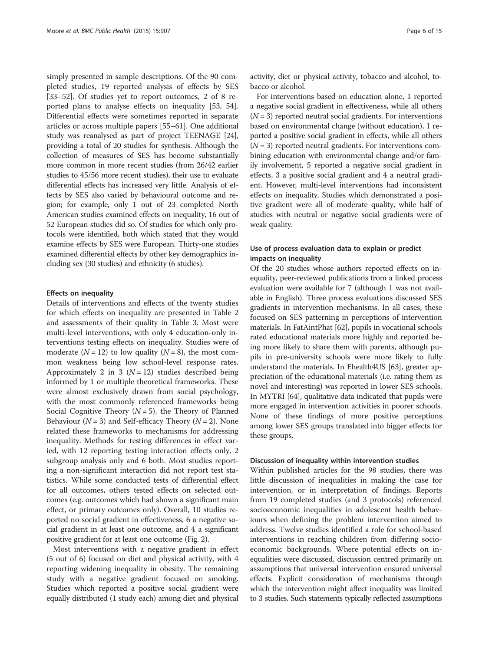simply presented in sample descriptions. Of the 90 completed studies, 19 reported analysis of effects by SES [[33](#page-14-0)–[52](#page-14-0)]. Of studies yet to report outcomes, 2 of 8 reported plans to analyse effects on inequality [\[53](#page-14-0), [54](#page-14-0)]. Differential effects were sometimes reported in separate articles or across multiple papers [[55](#page-14-0)–[61](#page-14-0)]. One additional study was reanalysed as part of project TEENAGE [\[24](#page-13-0)], providing a total of 20 studies for synthesis. Although the collection of measures of SES has become substantially more common in more recent studies (from 26/42 earlier studies to 45/56 more recent studies), their use to evaluate differential effects has increased very little. Analysis of effects by SES also varied by behavioural outcome and region; for example, only 1 out of 23 completed North American studies examined effects on inequality, 16 out of 52 European studies did so. Of studies for which only protocols were identified, both which stated that they would examine effects by SES were European. Thirty-one studies examined differential effects by other key demographics including sex (30 studies) and ethnicity (6 studies).

#### Effects on inequality

Details of interventions and effects of the twenty studies for which effects on inequality are presented in Table [2](#page-6-0) and assessments of their quality in Table [3.](#page-9-0) Most were multi-level interventions, with only 4 education-only interventions testing effects on inequality. Studies were of moderate  $(N = 12)$  to low quality  $(N = 8)$ , the most common weakness being low school-level response rates. Approximately 2 in 3 ( $N = 12$ ) studies described being informed by 1 or multiple theoretical frameworks. These were almost exclusively drawn from social psychology, with the most commonly referenced frameworks being Social Cognitive Theory  $(N = 5)$ , the Theory of Planned Behaviour ( $N = 3$ ) and Self-efficacy Theory ( $N = 2$ ). None related these frameworks to mechanisms for addressing inequality. Methods for testing differences in effect varied, with 12 reporting testing interaction effects only, 2 subgroup analysis only and 6 both. Most studies reporting a non-significant interaction did not report test statistics. While some conducted tests of differential effect for all outcomes, others tested effects on selected outcomes (e.g. outcomes which had shown a significant main effect, or primary outcomes only). Overall, 10 studies reported no social gradient in effectiveness, 6 a negative social gradient in at least one outcome, and 4 a significant positive gradient for at least one outcome (Fig. [2\)](#page-11-0).

Most interventions with a negative gradient in effect (5 out of 6) focused on diet and physical activity, with 4 reporting widening inequality in obesity. The remaining study with a negative gradient focused on smoking. Studies which reported a positive social gradient were equally distributed (1 study each) among diet and physical

activity, diet or physical activity, tobacco and alcohol, tobacco or alcohol.

For interventions based on education alone, 1 reported a negative social gradient in effectiveness, while all others  $(N = 3)$  reported neutral social gradients. For interventions based on environmental change (without education), 1 reported a positive social gradient in effects, while all others  $(N = 3)$  reported neutral gradients. For interventions combining education with environmental change and/or family involvement, 5 reported a negative social gradient in effects, 3 a positive social gradient and 4 a neutral gradient. However, multi-level interventions had inconsistent effects on inequality. Studies which demonstrated a positive gradient were all of moderate quality, while half of studies with neutral or negative social gradients were of weak quality.

# Use of process evaluation data to explain or predict impacts on inequality

Of the 20 studies whose authors reported effects on inequality, peer-reviewed publications from a linked process evaluation were available for 7 (although 1 was not available in English). Three process evaluations discussed SES gradients in intervention mechanisms. In all cases, these focused on SES patterning in perceptions of intervention materials. In FatAintPhat [[62](#page-14-0)], pupils in vocational schools rated educational materials more highly and reported being more likely to share them with parents, although pupils in pre-university schools were more likely to fully understand the materials. In Ehealth4US [\[63\]](#page-14-0), greater appreciation of the educational materials (i.e. rating them as novel and interesting) was reported in lower SES schools. In MYTRI [[64](#page-14-0)], qualitative data indicated that pupils were more engaged in intervention activities in poorer schools. None of these findings of more positive perceptions among lower SES groups translated into bigger effects for these groups.

#### Discussion of inequality within intervention studies

Within published articles for the 98 studies, there was little discussion of inequalities in making the case for intervention, or in interpretation of findings. Reports from 19 completed studies (and 3 protocols) referenced socioeconomic inequalities in adolescent health behaviours when defining the problem intervention aimed to address. Twelve studies identified a role for school-based interventions in reaching children from differing socioeconomic backgrounds. Where potential effects on inequalities were discussed, discussion centred primarily on assumptions that universal intervention ensured universal effects. Explicit consideration of mechanisms through which the intervention might affect inequality was limited to 3 studies. Such statements typically reflected assumptions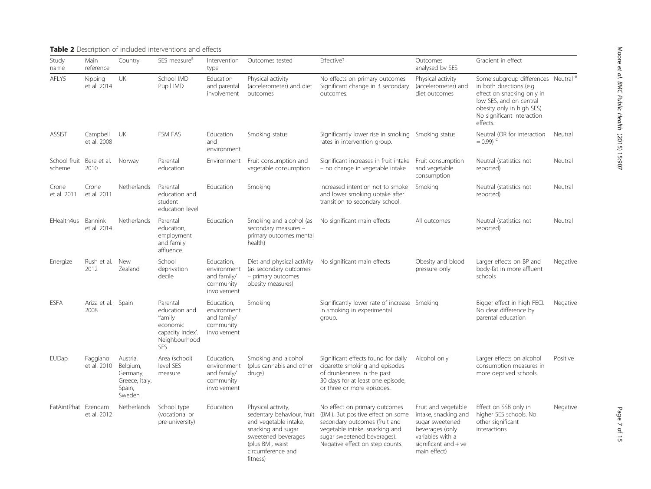| Study<br>name        | Main<br>reference                | Country                                                                | SES measure <sup>a</sup>                                                                            | Intervention<br>type                                                 | Outcomes tested                                                                                                                                                             | Effective?                                                                                                                                                                                               | Outcomes<br>analysed by SES                                                                                                                    | Gradient in effect                                                                                                                                                                                          |          |
|----------------------|----------------------------------|------------------------------------------------------------------------|-----------------------------------------------------------------------------------------------------|----------------------------------------------------------------------|-----------------------------------------------------------------------------------------------------------------------------------------------------------------------------|----------------------------------------------------------------------------------------------------------------------------------------------------------------------------------------------------------|------------------------------------------------------------------------------------------------------------------------------------------------|-------------------------------------------------------------------------------------------------------------------------------------------------------------------------------------------------------------|----------|
| AFLY5                | Kipping<br>et al. 2014           | UK                                                                     | School IMD<br>Pupil IMD                                                                             | Education<br>and parental<br>involvement                             | Physical activity<br>(accelerometer) and diet<br>outcomes                                                                                                                   | No effects on primary outcomes.<br>Significant change in 3 secondary<br>outcomes.                                                                                                                        | Physical activity<br>(accelerometer) and<br>diet outcomes                                                                                      | Some subgroup differences Neutral <sup>e</sup><br>in both directions (e.g.<br>effect on snacking only in<br>low SES, and on central<br>obesity only in high SES).<br>No significant interaction<br>effects. |          |
| <b>ASSIST</b>        | Campbell<br>et al. 2008          | UK                                                                     | <b>FSM FAS</b>                                                                                      | Education<br>and<br>environment                                      | Smoking status                                                                                                                                                              | Significantly lower rise in smoking<br>rates in intervention group.                                                                                                                                      | Smoking status                                                                                                                                 | Neutral (OR for interaction<br>$=$ 0.99) $\epsilon$                                                                                                                                                         | Neutral  |
| scheme               | School fruit Bere et al.<br>2010 | Norway                                                                 | Parental<br>education                                                                               | Environment                                                          | Fruit consumption and<br>vegetable consumption                                                                                                                              | Significant increases in fruit intake<br>- no change in vegetable intake                                                                                                                                 | Fruit consumption<br>and vegetable<br>consumption                                                                                              | Neutral (statistics not<br>reported)                                                                                                                                                                        | Neutral  |
| Crone<br>et al. 2011 | Crone<br>et al. 2011             | Netherlands                                                            | Parental<br>education and<br>student<br>education level                                             | Education                                                            | Smoking                                                                                                                                                                     | Increased intention not to smoke<br>and lower smoking uptake after<br>transition to secondary school.                                                                                                    | Smoking                                                                                                                                        | Neutral (statistics not<br>reported)                                                                                                                                                                        | Neutral  |
| EHealth4us           | Bannink<br>et al. 2014           | Netherlands                                                            | Parental<br>education,<br>employment<br>and family<br>affluence                                     | Education                                                            | Smoking and alcohol (as<br>secondary measures -<br>primary outcomes mental<br>health)                                                                                       | No significant main effects                                                                                                                                                                              | All outcomes                                                                                                                                   | Neutral (statistics not<br>reported)                                                                                                                                                                        | Neutral  |
| Energize             | Rush et al.<br>2012              | New<br>Zealand                                                         | School<br>deprivation<br>decile                                                                     | Education,<br>environment<br>and family/<br>community<br>involvement | Diet and physical activity<br>(as secondary outcomes<br>- primary outcomes<br>obesity measures)                                                                             | No significant main effects                                                                                                                                                                              | Obesity and blood<br>pressure only                                                                                                             | Larger effects on BP and<br>body-fat in more affluent<br>schools                                                                                                                                            | Negative |
| <b>ESFA</b>          | Ariza et al.<br>2008             | Spain                                                                  | Parental<br>education and<br>'family<br>economic<br>capacity index'.<br>Neighbourhood<br><b>SES</b> | Education,<br>environment<br>and family/<br>community<br>involvement | Smoking                                                                                                                                                                     | Significantly lower rate of increase Smoking<br>in smoking in experimental<br>group.                                                                                                                     |                                                                                                                                                | Bigger effect in high FECI.<br>No clear difference by<br>parental education                                                                                                                                 | Negative |
| EUDap                | Faggiano<br>et al. 2010          | Austria,<br>Belgium,<br>Germany,<br>Greece, Italy,<br>Spain,<br>Sweden | Area (school)<br>level SES<br>measure                                                               | Education,<br>environment<br>and family/<br>community<br>involvement | Smoking and alcohol<br>(plus cannabis and other<br>drugs)                                                                                                                   | Significant effects found for daily<br>cigarette smoking and episodes<br>of drunkenness in the past<br>30 days for at least one episode,<br>or three or more episodes                                    | Alcohol only                                                                                                                                   | Larger effects on alcohol<br>consumption measures in<br>more deprived schools.                                                                                                                              | Positive |
| FatAintPhat Ezendam  | et al. 2012                      | Netherlands                                                            | School type<br>(vocational or<br>pre-university)                                                    | Education                                                            | Physical activity,<br>sedentary behaviour, fruit<br>and vegetable intake,<br>snacking and sugar<br>sweetened beverages<br>(plus BMI, waist<br>circumference and<br>fitness) | No effect on primary outcomes<br>(BMI). But positive effect on some<br>secondary outcomes (fruit and<br>vegetable intake, snacking and<br>sugar sweetened beverages).<br>Negative effect on step counts. | Fruit and vegetable<br>intake, snacking and<br>sugar sweetened<br>beverages (only<br>variables with a<br>significant and $+ve$<br>main effect) | Effect on SSB only in<br>higher SES schools. No<br>other significant<br>interactions                                                                                                                        | Negative |

# <span id="page-6-0"></span>Table 2 Description of included interventions and effects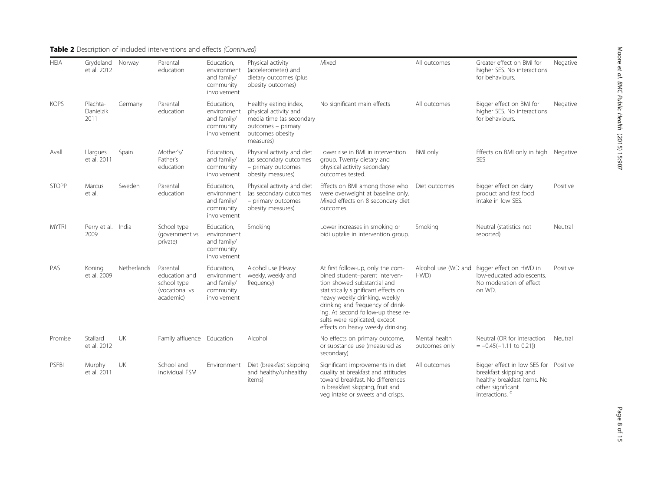Table 2 Description of included interventions and effects (Continued)

| <b>HEIA</b>  | Grydeland<br>et al. 2012      | Norway      | Parental<br>education                                                   | Education,<br>environment<br>and family/<br>community<br>involvement | Physical activity<br>(accelerometer) and<br>dietary outcomes (plus<br>obesity outcomes)                                           | Mixed                                                                                                                                                                                                                                                                                                                       | All outcomes                   | Greater effect on BMI for<br>higher SES. No interactions<br>for behaviours.                                                              | Negative |
|--------------|-------------------------------|-------------|-------------------------------------------------------------------------|----------------------------------------------------------------------|-----------------------------------------------------------------------------------------------------------------------------------|-----------------------------------------------------------------------------------------------------------------------------------------------------------------------------------------------------------------------------------------------------------------------------------------------------------------------------|--------------------------------|------------------------------------------------------------------------------------------------------------------------------------------|----------|
| <b>KOPS</b>  | Plachta-<br>Danielzik<br>2011 | Germany     | Parental<br>education                                                   | Education,<br>environment<br>and family/<br>community<br>involvement | Healthy eating index,<br>physical activity and<br>media time (as secondary<br>outcomes - primary<br>outcomes obesity<br>measures) | No significant main effects                                                                                                                                                                                                                                                                                                 | All outcomes                   | Bigger effect on BMI for<br>higher SES. No interactions<br>for behaviours.                                                               | Negative |
| Avall        | Llargues<br>et al. 2011       | Spain       | Mother's/<br>Father's<br>education                                      | Education,<br>and family/<br>community<br>involvement                | Physical activity and diet<br>(as secondary outcomes<br>- primary outcomes<br>obesity measures)                                   | Lower rise in BMI in intervention<br>group. Twenty dietary and<br>physical activity secondary<br>outcomes tested.                                                                                                                                                                                                           | <b>BMI</b> only                | Effects on BMI only in high Negative<br><b>SES</b>                                                                                       |          |
| <b>STOPP</b> | Marcus<br>et al.              | Sweden      | Parental<br>education                                                   | Education,<br>environment<br>and family/<br>community<br>involvement | Physical activity and diet<br>(as secondary outcomes<br>- primary outcomes<br>obesity measures)                                   | Effects on BMI among those who<br>were overweight at baseline only.<br>Mixed effects on 8 secondary diet<br>outcomes.                                                                                                                                                                                                       | Diet outcomes                  | Bigger effect on dairy<br>product and fast food<br>intake in low SES.                                                                    | Positive |
| <b>MYTRI</b> | Perry et al. India<br>2009    |             | School type<br>(government vs<br>private)                               | Education,<br>environment<br>and family/<br>community<br>involvement | Smoking                                                                                                                           | Lower increases in smoking or<br>bidi uptake in intervention group.                                                                                                                                                                                                                                                         | Smoking                        | Neutral (statistics not<br>reported)                                                                                                     | Neutral  |
| PAS          | Koning<br>et al. 2009         | Netherlands | Parental<br>education and<br>school type<br>(vocational vs<br>academic) | Education,<br>environment<br>and family/<br>community<br>involvement | Alcohol use (Heavy<br>weekly, weekly and<br>frequency)                                                                            | At first follow-up, only the com-<br>bined student-parent interven-<br>tion showed substantial and<br>statistically significant effects on<br>heavy weekly drinking, weekly<br>drinking and frequency of drink-<br>ing. At second follow-up these re-<br>sults were replicated, except<br>effects on heavy weekly drinking. | Alcohol use (WD and<br>HWD)    | Bigger effect on HWD in<br>low-educated adolescents.<br>No moderation of effect<br>on WD.                                                | Positive |
| Promise      | Stallard<br>et al. 2012       | UK          | Family affluence Education                                              |                                                                      | Alcohol                                                                                                                           | No effects on primary outcome,<br>or substance use (measured as<br>secondary)                                                                                                                                                                                                                                               | Mental health<br>outcomes only | Neutral (OR for interaction<br>$= -0.45(-1.11$ to 0.21))                                                                                 | Neutral  |
| PSFBI        | Murphy<br>et al. 2011         | UK          | School and<br>individual FSM                                            | Environment                                                          | Diet (breakfast skipping<br>and healthy/unhealthy<br>items)                                                                       | Significant improvements in diet<br>quality at breakfast and attitudes<br>toward breakfast. No differences<br>in breakfast skipping, fruit and<br>veg intake or sweets and crisps.                                                                                                                                          | All outcomes                   | Bigger effect in low SES for<br>breakfast skipping and<br>healthy breakfast items. No<br>other significant<br>interactions. <sup>c</sup> | Positive |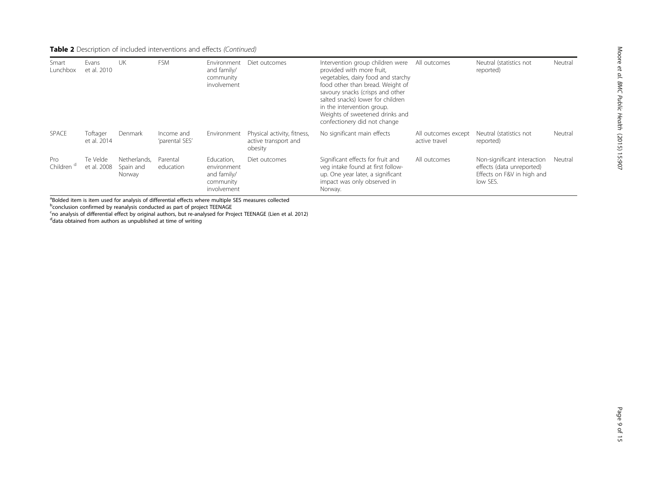# Table 2 Description of included interventions and effects (Continued)

| Smart<br>Lunchbox            | Evans<br>et al. 2010    | UK                                  | <b>FSM</b>                   | Environment<br>and family/<br>community<br>involvement               | Diet outcomes                                                  | Intervention group children were<br>provided with more fruit,<br>vegetables, dairy food and starchy<br>food other than bread. Weight of<br>savoury snacks (crisps and other<br>salted snacks) lower for children<br>in the intervention group.<br>Weights of sweetened drinks and<br>confectionery did not change | All outcomes                         | Neutral (statistics not<br>reported)                                                               | Neutral |
|------------------------------|-------------------------|-------------------------------------|------------------------------|----------------------------------------------------------------------|----------------------------------------------------------------|-------------------------------------------------------------------------------------------------------------------------------------------------------------------------------------------------------------------------------------------------------------------------------------------------------------------|--------------------------------------|----------------------------------------------------------------------------------------------------|---------|
| <b>SPACE</b>                 | Toftager<br>et al. 2014 | Denmark                             | Income and<br>'parental SES' | Environment                                                          | Physical activity, fitness,<br>active transport and<br>obesity | No significant main effects                                                                                                                                                                                                                                                                                       | All outcomes except<br>active travel | Neutral (statistics not<br>reported)                                                               | Neutral |
| Pro<br>Children <sup>d</sup> | Te Velde<br>et al. 2008 | Netherlands.<br>Spain and<br>Norway | Parental<br>education        | Education,<br>environment<br>and family/<br>community<br>involvement | Diet outcomes                                                  | Significant effects for fruit and<br>veg intake found at first follow-<br>up. One year later, a significant<br>impact was only observed in<br>Norway.                                                                                                                                                             | All outcomes                         | Non-significant interaction<br>effects (data unreported)<br>Effects on F&V in high and<br>low SES. | Neutral |

<sup>a</sup>Bolded item is item used for analysis of differential effects where multiple SES measures collected

<sup>b</sup>conclusion confirmed by reanalysis conducted as part of project TEENAGE

<sup>c</sup>no analysis of differential effect by original authors, but re-analysed for Project TEENAGE (Lien et al. 2012)

ddata obtained from authors as unpublished at time of writing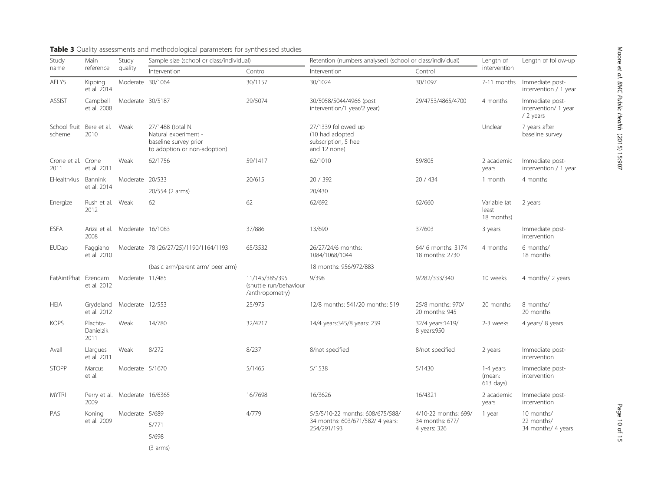| Study                      | Main                             | Study                         | Sample size (school or class/individual)                                                           |                                                             | Retention (numbers analysed) (school or class/individual)                      |                                      | Length of                           | Length of follow-up                                  |  |
|----------------------------|----------------------------------|-------------------------------|----------------------------------------------------------------------------------------------------|-------------------------------------------------------------|--------------------------------------------------------------------------------|--------------------------------------|-------------------------------------|------------------------------------------------------|--|
| name                       | reference                        | quality                       | Intervention                                                                                       | Control                                                     | Intervention                                                                   | Control                              | intervention                        |                                                      |  |
| AFLY5                      | Kipping<br>et al. 2014           | Moderate 30/1064              |                                                                                                    | 30/1157                                                     | 30/1024                                                                        | 30/1097                              | 7-11 months                         | Immediate post-<br>intervention $/1$ year            |  |
| <b>ASSIST</b>              | Campbell<br>et al. 2008          | Moderate 30/5187              |                                                                                                    | 29/5074                                                     | 30/5058/5044/4966 (post<br>intervention/1 year/2 year)                         | 29/4753/4865/4700                    | 4 months                            | Immediate post-<br>intervention/ 1 year<br>/ 2 years |  |
| scheme                     | School fruit Bere et al.<br>2010 | Weak                          | 27/1488 (total N.<br>Natural experiment -<br>baseline survey prior<br>to adoption or non-adoption) |                                                             | 27/1339 followed up<br>(10 had adopted<br>subscription, 5 free<br>and 12 none) |                                      | Unclear                             | 7 years after<br>baseline survey                     |  |
| Crone et al. Crone<br>2011 | et al. 2011                      | Weak                          | 62/1756                                                                                            | 59/1417                                                     | 62/1010                                                                        | 59/805                               | 2 academic<br>years                 | Immediate post-<br>intervention / 1 year             |  |
| EHealth4us                 | Bannink                          | Moderate 20/533               |                                                                                                    | 20/615                                                      | 20 / 392                                                                       | 20/434                               | 1 month                             | 4 months                                             |  |
| et al. 2014                |                                  | 20/554 (2 arms)               |                                                                                                    | 20/430                                                      |                                                                                |                                      |                                     |                                                      |  |
| Energize                   | Rush et al.<br>2012              | Weak                          | 62                                                                                                 | 62                                                          | 62/692                                                                         | 62/660                               | Variable (at<br>least<br>18 months) | 2 years                                              |  |
| <b>ESFA</b>                | 2008                             | Ariza et al. Moderate 16/1083 |                                                                                                    | 37/886                                                      | 13/690                                                                         | 37/603                               | 3 years                             | Immediate post-<br>intervention                      |  |
| EUDap                      | Faggiano<br>et al. 2010          |                               | Moderate 78 (26/27/25)/1190/1164/1193                                                              | 65/3532                                                     | 26/27/24/6 months:<br>1084/1068/1044                                           | 64/6 months: 3174<br>18 months: 2730 | 4 months                            | 6 months/<br>18 months                               |  |
|                            |                                  |                               | (basic arm/parent arm/ peer arm)                                                                   |                                                             | 18 months: 956/972/883                                                         |                                      |                                     |                                                      |  |
| FatAintPhat Ezendam        | et al. 2012                      | Moderate 11/485               |                                                                                                    | 11/145/385/395<br>(shuttle run/behaviour<br>/anthropometry) | 9/398                                                                          | 9/282/333/340                        | 10 weeks                            | 4 months/ 2 years                                    |  |
| <b>HEIA</b>                | Grydeland<br>et al. 2012         | Moderate 12/553               |                                                                                                    | 25/975                                                      | 12/8 months: 541/20 months: 519                                                | 25/8 months: 970/<br>20 months: 945  | 20 months                           | 8 months/<br>20 months                               |  |
| <b>KOPS</b>                | Plachta-<br>Danielzik<br>2011    | Weak                          | 14/780                                                                                             | 32/4217                                                     | 14/4 years:345/8 years: 239                                                    | 32/4 years:1419/<br>8 years:950      | 2-3 weeks                           | 4 years/ 8 years                                     |  |
| Avall                      | Llargues<br>et al. 2011          | Weak                          | 8/272                                                                                              | 8/237                                                       | 8/not specified                                                                | 8/not specified                      | 2 years                             | Immediate post-<br>intervention                      |  |
| <b>STOPP</b>               | Marcus<br>et al.                 | Moderate 5/1670               |                                                                                                    | 5/1465                                                      | 5/1538                                                                         | 5/1430                               | 1-4 years<br>(mean:<br>$613$ days)  | Immediate post-<br>intervention                      |  |
| <b>MYTRI</b>               | 2009                             | Perry et al. Moderate 16/6365 |                                                                                                    | 16/7698                                                     | 16/3626                                                                        | 16/4321                              | 2 academic<br>years                 | Immediate post-<br>intervention                      |  |
| PAS                        | Koning                           | Moderate 5/689                |                                                                                                    | 4/779                                                       | 5/5/5/10-22 months: 608/675/588/                                               | 4/10-22 months: 699/                 | 1 year                              | 10 months/                                           |  |
|                            | et al. 2009                      |                               | 5/771                                                                                              |                                                             | 34 months: 603/671/582/ 4 years:<br>254/291/193                                | 34 months: 677/<br>4 years: 326      |                                     | 22 months/<br>34 months/ 4 years                     |  |
|                            |                                  |                               | 5/698                                                                                              |                                                             |                                                                                |                                      |                                     |                                                      |  |
|                            |                                  |                               | $(3 \text{ arms})$                                                                                 |                                                             |                                                                                |                                      |                                     |                                                      |  |

<span id="page-9-0"></span>

|  |  |  | Table 3 Quality assessments and methodological parameters for synthesised studies |  |
|--|--|--|-----------------------------------------------------------------------------------|--|
|  |  |  |                                                                                   |  |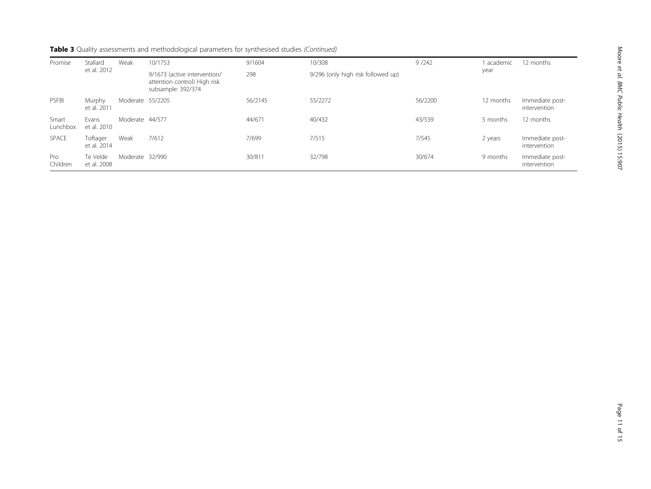| Table 3 Quality assessments and methodological parameters for synthesised studies (Continued) |  |  |
|-----------------------------------------------------------------------------------------------|--|--|
|-----------------------------------------------------------------------------------------------|--|--|

| Promise           | Stallard                | Weak             | 10/1753                                                                            | 9/1604  | 10/308                             | 9/242   | academic  | 12 months                       |
|-------------------|-------------------------|------------------|------------------------------------------------------------------------------------|---------|------------------------------------|---------|-----------|---------------------------------|
|                   | et al. 2012             |                  | 9/1673 (active intervention/<br>attention control) High risk<br>subsample: 392/374 | 298     | 9/296 (only high risk followed up) |         | year      |                                 |
| PSFBI             | Murphy<br>et al. 2011   | Moderate 55/2205 |                                                                                    | 56/2145 | 55/2272                            | 56/2200 | 12 months | Immediate post-<br>intervention |
| Smart<br>Lunchbox | Evans<br>et al. 2010    | Moderate 44/577  |                                                                                    | 44/671  | 40/432                             | 43/539  | 5 months  | 12 months                       |
| SPACE             | Toftager<br>et al. 2014 | Weak             | 7/612                                                                              | 7/699   | 7/515                              | 7/545   | 2 years   | Immediate post-<br>intervention |
| Pro<br>Children   | Te Velde<br>et al. 2008 | Moderate 32/990  |                                                                                    | 30/811  | 32/798                             | 30/674  | 9 months  | Immediate post-<br>intervention |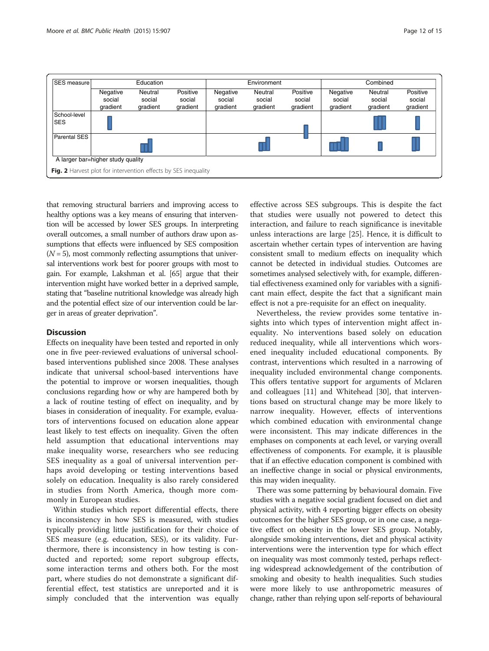<span id="page-11-0"></span>

| <b>SES</b> measure                                             |                                | Education                     |                                |                                | Environment                   |                                | Combined                       |                               |                                |  |
|----------------------------------------------------------------|--------------------------------|-------------------------------|--------------------------------|--------------------------------|-------------------------------|--------------------------------|--------------------------------|-------------------------------|--------------------------------|--|
|                                                                | Negative<br>social<br>gradient | Neutral<br>social<br>gradient | Positive<br>social<br>gradient | Negative<br>social<br>gradient | Neutral<br>social<br>gradient | Positive<br>social<br>gradient | Negative<br>social<br>gradient | Neutral<br>social<br>gradient | Positive<br>social<br>gradient |  |
| School-level<br><b>SES</b>                                     |                                |                               |                                |                                |                               |                                |                                |                               |                                |  |
| <b>Parental SES</b>                                            |                                |                               |                                |                                |                               |                                |                                |                               |                                |  |
| A larger bar=higher study quality                              |                                |                               |                                |                                |                               |                                |                                |                               |                                |  |
| Fig. 2 Harvest plot for intervention effects by SES inequality |                                |                               |                                |                                |                               |                                |                                |                               |                                |  |

that removing structural barriers and improving access to healthy options was a key means of ensuring that intervention will be accessed by lower SES groups. In interpreting overall outcomes, a small number of authors draw upon assumptions that effects were influenced by SES composition  $(N = 5)$ , most commonly reflecting assumptions that universal interventions work best for poorer groups with most to gain. For example, Lakshman et al. [\[65\]](#page-14-0) argue that their intervention might have worked better in a deprived sample, stating that "baseline nutritional knowledge was already high and the potential effect size of our intervention could be larger in areas of greater deprivation".

#### **Discussion**

Effects on inequality have been tested and reported in only one in five peer-reviewed evaluations of universal schoolbased interventions published since 2008. These analyses indicate that universal school-based interventions have the potential to improve or worsen inequalities, though conclusions regarding how or why are hampered both by a lack of routine testing of effect on inequality, and by biases in consideration of inequality. For example, evaluators of interventions focused on education alone appear least likely to test effects on inequality. Given the often held assumption that educational interventions may make inequality worse, researchers who see reducing SES inequality as a goal of universal intervention perhaps avoid developing or testing interventions based solely on education. Inequality is also rarely considered in studies from North America, though more commonly in European studies.

Within studies which report differential effects, there is inconsistency in how SES is measured, with studies typically providing little justification for their choice of SES measure (e.g. education, SES), or its validity. Furthermore, there is inconsistency in how testing is conducted and reported; some report subgroup effects, some interaction terms and others both. For the most part, where studies do not demonstrate a significant differential effect, test statistics are unreported and it is simply concluded that the intervention was equally effective across SES subgroups. This is despite the fact that studies were usually not powered to detect this interaction, and failure to reach significance is inevitable unless interactions are large [\[25\]](#page-13-0). Hence, it is difficult to ascertain whether certain types of intervention are having consistent small to medium effects on inequality which cannot be detected in individual studies. Outcomes are sometimes analysed selectively with, for example, differential effectiveness examined only for variables with a significant main effect, despite the fact that a significant main effect is not a pre-requisite for an effect on inequality.

Nevertheless, the review provides some tentative insights into which types of intervention might affect inequality. No interventions based solely on education reduced inequality, while all interventions which worsened inequality included educational components. By contrast, interventions which resulted in a narrowing of inequality included environmental change components. This offers tentative support for arguments of Mclaren and colleagues [[11\]](#page-13-0) and Whitehead [[30](#page-14-0)], that interventions based on structural change may be more likely to narrow inequality. However, effects of interventions which combined education with environmental change were inconsistent. This may indicate differences in the emphases on components at each level, or varying overall effectiveness of components. For example, it is plausible that if an effective education component is combined with an ineffective change in social or physical environments, this may widen inequality.

There was some patterning by behavioural domain. Five studies with a negative social gradient focused on diet and physical activity, with 4 reporting bigger effects on obesity outcomes for the higher SES group, or in one case, a negative effect on obesity in the lower SES group. Notably, alongside smoking interventions, diet and physical activity interventions were the intervention type for which effect on inequality was most commonly tested, perhaps reflecting widespread acknowledgement of the contribution of smoking and obesity to health inequalities. Such studies were more likely to use anthropometric measures of change, rather than relying upon self-reports of behavioural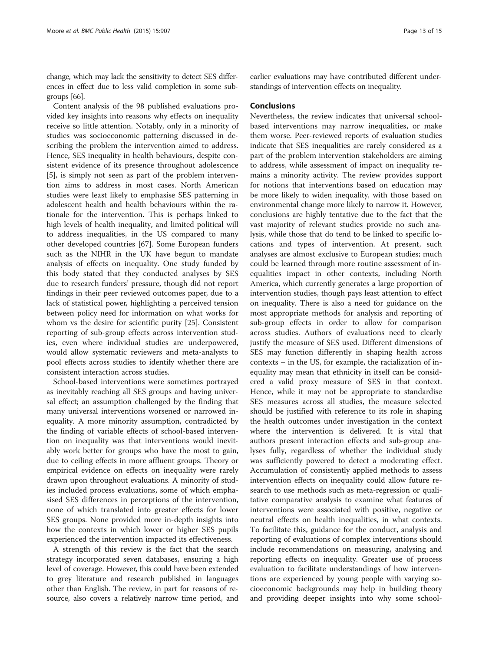change, which may lack the sensitivity to detect SES differences in effect due to less valid completion in some subgroups [\[66](#page-14-0)].

Content analysis of the 98 published evaluations provided key insights into reasons why effects on inequality receive so little attention. Notably, only in a minority of studies was socioeconomic patterning discussed in describing the problem the intervention aimed to address. Hence, SES inequality in health behaviours, despite consistent evidence of its presence throughout adolescence [[5\]](#page-13-0), is simply not seen as part of the problem intervention aims to address in most cases. North American studies were least likely to emphasise SES patterning in adolescent health and health behaviours within the rationale for the intervention. This is perhaps linked to high levels of health inequality, and limited political will to address inequalities, in the US compared to many other developed countries [[67\]](#page-14-0). Some European funders such as the NIHR in the UK have begun to mandate analysis of effects on inequality. One study funded by this body stated that they conducted analyses by SES due to research funders' pressure, though did not report findings in their peer reviewed outcomes paper, due to a lack of statistical power, highlighting a perceived tension between policy need for information on what works for whom vs the desire for scientific purity [\[25](#page-13-0)]. Consistent reporting of sub-group effects across intervention studies, even where individual studies are underpowered, would allow systematic reviewers and meta-analysts to pool effects across studies to identify whether there are consistent interaction across studies.

School-based interventions were sometimes portrayed as inevitably reaching all SES groups and having universal effect; an assumption challenged by the finding that many universal interventions worsened or narrowed inequality. A more minority assumption, contradicted by the finding of variable effects of school-based intervention on inequality was that interventions would inevitably work better for groups who have the most to gain, due to ceiling effects in more affluent groups. Theory or empirical evidence on effects on inequality were rarely drawn upon throughout evaluations. A minority of studies included process evaluations, some of which emphasised SES differences in perceptions of the intervention, none of which translated into greater effects for lower SES groups. None provided more in-depth insights into how the contexts in which lower or higher SES pupils experienced the intervention impacted its effectiveness.

A strength of this review is the fact that the search strategy incorporated seven databases, ensuring a high level of coverage. However, this could have been extended to grey literature and research published in languages other than English. The review, in part for reasons of resource, also covers a relatively narrow time period, and

earlier evaluations may have contributed different understandings of intervention effects on inequality.

# **Conclusions**

Nevertheless, the review indicates that universal schoolbased interventions may narrow inequalities, or make them worse. Peer-reviewed reports of evaluation studies indicate that SES inequalities are rarely considered as a part of the problem intervention stakeholders are aiming to address, while assessment of impact on inequality remains a minority activity. The review provides support for notions that interventions based on education may be more likely to widen inequality, with those based on environmental change more likely to narrow it. However, conclusions are highly tentative due to the fact that the vast majority of relevant studies provide no such analysis, while those that do tend to be linked to specific locations and types of intervention. At present, such analyses are almost exclusive to European studies; much could be learned through more routine assessment of inequalities impact in other contexts, including North America, which currently generates a large proportion of intervention studies, though pays least attention to effect on inequality. There is also a need for guidance on the most appropriate methods for analysis and reporting of sub-group effects in order to allow for comparison across studies. Authors of evaluations need to clearly justify the measure of SES used. Different dimensions of SES may function differently in shaping health across contexts – in the US, for example, the racialization of inequality may mean that ethnicity in itself can be considered a valid proxy measure of SES in that context. Hence, while it may not be appropriate to standardise SES measures across all studies, the measure selected should be justified with reference to its role in shaping the health outcomes under investigation in the context where the intervention is delivered. It is vital that authors present interaction effects and sub-group analyses fully, regardless of whether the individual study was sufficiently powered to detect a moderating effect. Accumulation of consistently applied methods to assess intervention effects on inequality could allow future research to use methods such as meta-regression or qualitative comparative analysis to examine what features of interventions were associated with positive, negative or neutral effects on health inequalities, in what contexts. To facilitate this, guidance for the conduct, analysis and reporting of evaluations of complex interventions should include recommendations on measuring, analysing and reporting effects on inequality. Greater use of process evaluation to facilitate understandings of how interventions are experienced by young people with varying socioeconomic backgrounds may help in building theory and providing deeper insights into why some school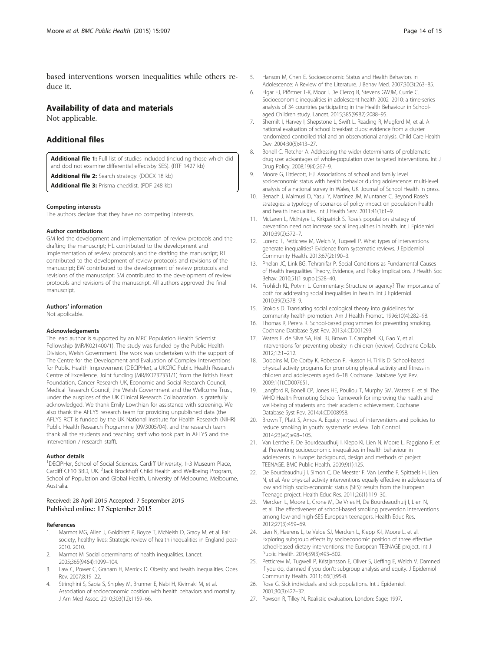<span id="page-13-0"></span>based interventions worsen inequalities while others reduce it.

#### Availability of data and materials

Not applicable.

# Additional files

[Additional file 1:](http://www.biomedcentral.com/content/supplementary/s12889-015-2244-x-s1.rtf) Full list of studies included (including those which did and dod not examine differential effectsby SES). (RTF 1427 kb)

[Additional file 2:](http://www.biomedcentral.com/content/supplementary/s12889-015-2244-x-s2.docx) Search strategy. (DOCX 18 kb)

[Additional file 3:](http://www.biomedcentral.com/content/supplementary/s12889-015-2244-x-s3.pdf) Prisma checklist. (PDF 248 kb)

#### Competing interests

The authors declare that they have no competing interests.

#### Author contributions

GM led the development and implementation of review protocols and the drafting the manuscript; HL contributed to the development and implementation of review protocols and the drafting the manuscript; RT contributed to the development of review protocols and revisions of the manuscript; EW contributed to the development of review protocols and revisions of the manuscript; SM contributed to the development of review protocols and revisions of the manuscript. All authors approved the final manuscript.

#### Authors' information

Not applicable.

#### Acknowledgements

The lead author is supported by an MRC Population Health Scientist Fellowship (MR/K021400/1). The study was funded by the Public Health Division, Welsh Government. The work was undertaken with the support of The Centre for the Development and Evaluation of Complex Interventions for Public Health Improvement (DECIPHer), a UKCRC Public Health Research Centre of Excellence. Joint funding (MR/KO232331/1) from the British Heart Foundation, Cancer Research UK, Economic and Social Research Council, Medical Research Council, the Welsh Government and the Wellcome Trust, under the auspices of the UK Clinical Research Collaboration, is gratefully acknowledged. We thank Emily Lowthian for assistance with screening. We also thank the AFLY5 research team for providing unpublished data (the AFLY5 RCT is funded by the UK National Institute for Health Research (NIHR) Public Health Research Programme (09/3005/04), and the research team thank all the students and teaching staff who took part in AFLY5 and the intervention / research staff).

#### Author details

<sup>1</sup>DECIPHer, School of Social Sciences, Cardiff University, 1-3 Museum Place, Cardiff CF10 3BD, UK. <sup>2</sup> Jack Brockhoff Child Health and Wellbeing Program, School of Population and Global Health, University of Melbourne, Melbourne, Australia.

#### Received: 28 April 2015 Accepted: 7 September 2015 Published online: 17 September 2015

#### References

- 1. Marmot MG, Allen J, Goldblatt P, Boyce T, McNeish D, Grady M, et al. Fair society, healthy lives: Strategic review of health inequalities in England post-2010. 2010.
- 2. Marmot M. Social determinants of health inequalities. Lancet. 2005;365(9464):1099–104.
- 3. Law C, Power C, Graham H, Merrick D. Obesity and health inequalities. Obes Rev. 2007;8:19–22.
- 4. Stringhini S, Sabia S, Shipley M, Brunner E, Nabi H, Kivimaki M, et al. Association of socioeconomic position with health behaviors and mortality. J Am Med Assoc. 2010;303(12):1159–66.
- 5. Hanson M, Chen E. Socioeconomic Status and Health Behaviors in Adolescence: A Review of the Literature. J Behav Med. 2007;30(3):263–85.
- 6. Elgar FJ, Pförtner T-K, Moor I, De Clercq B, Stevens GWJM, Currie C. Socioeconomic inequalities in adolescent health 2002–2010: a time-series analysis of 34 countries participating in the Health Behaviour in Schoolaged Children study. Lancet. 2015;385(9982):2088–95.
- 7. Shemilt I, Harvey I, Shepstone L, Swift L, Reading R, Mugford M, et al. A national evaluation of school breakfast clubs: evidence from a cluster randomized controlled trial and an observational analysis. Child Care Health Dev. 2004;30(5):413–27.
- 8. Bonell C, Fletcher A. Addressing the wider determinants of problematic drug use: advantages of whole-population over targeted interventions. Int J Drug Policy. 2008;19(4):267–9.
- 9. Moore G, Littlecott, HJ. Associations of school and family level socioeconomic status with health behavior during adolescence: multi-level analysis of a national survey in Wales, UK. Journal of School Health in press.
- 10. Benach J, Malmusi D, Yasui Y, Martínez JM, Muntaner C. Beyond Rose's strategies: a typology of scenarios of policy impact on population health and health inequalities. Int J Health Serv. 2011;41(1):1–9.
- 11. McLaren L, McIntyre L, Kirkpatrick S, Rose's population strategy of prevention need not increase social inequalities in health. Int J Epidemiol. 2010;39(2):372–7.
- 12. Lorenc T, Petticrew M, Welch V, Tugwell P. What types of interventions generate inequalities? Evidence from systematic reviews. J Epidemiol Community Health. 2013;67(2):190–3.
- 13. Phelan JC, Link BG, Tehranifar P. Social Conditions as Fundamental Causes of Health Inequalities Theory, Evidence, and Policy Implications. J Health Soc Behav. 2010;51(1 suppl):S28–40.
- 14. Frohlich KL, Potvin L. Commentary: Structure or agency? The importance of both for addressing social inequalities in health. Int J Epidemiol. 2010;39(2):378–9.
- 15. Stokols D. Translating social ecological theory into guidelines for community health promotion. Am J Health Promot. 1996;10(4):282–98.
- 16. Thomas R, Perera R. School-based programmes for preventing smoking. Cochrane Database Syst Rev. 2013;4:CD001293.
- 17. Waters E, de Silva SA, Hall BJ, Brown T, Campbell KJ, Gao Y, et al. Interventions for preventing obesity in children (review). Cochrane Collab. 2012;12:1–212.
- 18. Dobbins M, De Corby K, Robeson P, Husson H, Tirilis D. School-based physical activity programs for promoting physical activity and fitness in children and adolescents aged 6–18. Cochrane Database Syst Rev. 2009;1(1):CD007651.
- 19. Langford R, Bonell CP, Jones HE, Pouliou T, Murphy SM, Waters E, et al. The WHO Health Promoting School framework for improving the health and well-being of students and their academic achievement. Cochrane Database Syst Rev. 2014;4:CD008958.
- 20. Brown T, Platt S, Amos A. Equity impact of interventions and policies to reduce smoking in youth: systematic review. Tob Control. 2014;23(e2):e98–105.
- 21. Van Lenthe F, De Bourdeaudhuij I, Klepp KI, Lien N, Moore L, Faggiano F, et al. Preventing socioeconomic inequalities in health behaviour in adolescents in Europe: background, design and methods of project TEENAGE. BMC Public Health. 2009;9(1):125.
- 22. De Bourdeaudhuij I, Simon C, De Meester F, Van Lenthe F, Spittaels H, Lien N, et al. Are physical activity interventions equally effective in adolescents of low and high socio-economic status (SES): results from the European Teenage project. Health Educ Res. 2011;26(1):119–30.
- 23. Mercken L, Moore L, Crone M, De Vries H, De Bourdeaudhuij I, Lien N, et al. The effectiveness of school-based smoking prevention interventions among low-and high-SES European teenagers. Health Educ Res. 2012;27(3):459–69.
- 24. Lien N, Haerens L, te Velde SJ, Mercken L, Klepp K-I, Moore L, et al. Exploring subgroup effects by socioeconomic position of three effective school-based dietary interventions: the European TEENAGE project. Int J Public Health. 2014;59(3):493–502.
- 25. Petticrew M, Tugwell P, Kristjansson E, Oliver S, Ueffing E, Welch V. Damned if you do, damned if you don't: subgroup analysis and equity. J Epidemiol Community Health. 2011; 66(1):95-8.
- 26. Rose G. Sick individuals and sick populations. Int J Epidemiol. 2001;30(3):427–32.
- 27. Pawson R, Tilley N. Realistic evaluation. London: Sage; 1997.